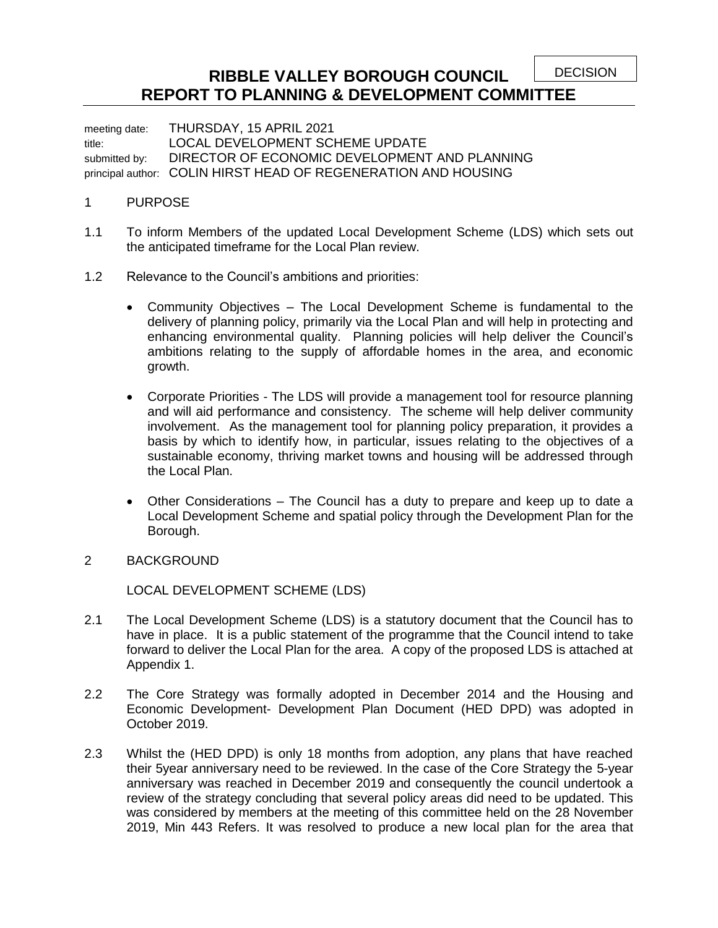DECISION

## **RIBBLE VALLEY BOROUGH COUNCIL REPORT TO PLANNING & DEVELOPMENT COMMITTEE**

meeting date: THURSDAY, 15 APRIL 2021 title: LOCAL DEVELOPMENT SCHEME UPDATE submitted by: DIRECTOR OF ECONOMIC DEVELOPMENT AND PLANNING principal author: COLIN HIRST HEAD OF REGENERATION AND HOUSING

## 1 PURPOSE

- 1.1 To inform Members of the updated Local Development Scheme (LDS) which sets out the anticipated timeframe for the Local Plan review.
- 1.2 Relevance to the Council's ambitions and priorities:
	- Community Objectives The Local Development Scheme is fundamental to the delivery of planning policy, primarily via the Local Plan and will help in protecting and enhancing environmental quality. Planning policies will help deliver the Council's ambitions relating to the supply of affordable homes in the area, and economic growth.
	- Corporate Priorities The LDS will provide a management tool for resource planning and will aid performance and consistency. The scheme will help deliver community involvement. As the management tool for planning policy preparation, it provides a basis by which to identify how, in particular, issues relating to the objectives of a sustainable economy, thriving market towns and housing will be addressed through the Local Plan.
	- Other Considerations The Council has a duty to prepare and keep up to date a Local Development Scheme and spatial policy through the Development Plan for the Borough.
- 2 BACKGROUND

LOCAL DEVELOPMENT SCHEME (LDS)

- 2.1 The Local Development Scheme (LDS) is a statutory document that the Council has to have in place. It is a public statement of the programme that the Council intend to take forward to deliver the Local Plan for the area. A copy of the proposed LDS is attached at Appendix 1.
- 2.2 The Core Strategy was formally adopted in December 2014 and the Housing and Economic Development- Development Plan Document (HED DPD) was adopted in October 2019.
- 2.3 Whilst the (HED DPD) is only 18 months from adoption, any plans that have reached their 5year anniversary need to be reviewed. In the case of the Core Strategy the 5-year anniversary was reached in December 2019 and consequently the council undertook a review of the strategy concluding that several policy areas did need to be updated. This was considered by members at the meeting of this committee held on the 28 November 2019, Min 443 Refers. It was resolved to produce a new local plan for the area that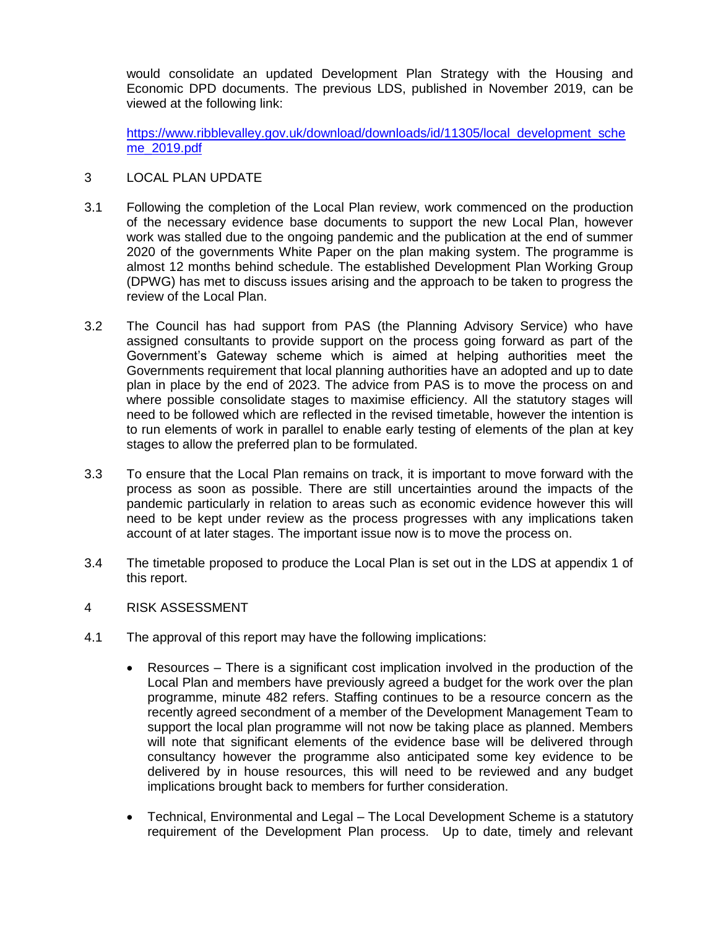would consolidate an updated Development Plan Strategy with the Housing and Economic DPD documents. The previous LDS, published in November 2019, can be viewed at the following link:

[https://www.ribblevalley.gov.uk/download/downloads/id/11305/local\\_development\\_sche](https://www.ribblevalley.gov.uk/download/downloads/id/11305/local_development_scheme_2019.pdf) [me\\_2019.pdf](https://www.ribblevalley.gov.uk/download/downloads/id/11305/local_development_scheme_2019.pdf)

- 3 LOCAL PLAN UPDATE
- 3.1 Following the completion of the Local Plan review, work commenced on the production of the necessary evidence base documents to support the new Local Plan, however work was stalled due to the ongoing pandemic and the publication at the end of summer 2020 of the governments White Paper on the plan making system. The programme is almost 12 months behind schedule. The established Development Plan Working Group (DPWG) has met to discuss issues arising and the approach to be taken to progress the review of the Local Plan.
- 3.2 The Council has had support from PAS (the Planning Advisory Service) who have assigned consultants to provide support on the process going forward as part of the Government's Gateway scheme which is aimed at helping authorities meet the Governments requirement that local planning authorities have an adopted and up to date plan in place by the end of 2023. The advice from PAS is to move the process on and where possible consolidate stages to maximise efficiency. All the statutory stages will need to be followed which are reflected in the revised timetable, however the intention is to run elements of work in parallel to enable early testing of elements of the plan at key stages to allow the preferred plan to be formulated.
- 3.3 To ensure that the Local Plan remains on track, it is important to move forward with the process as soon as possible. There are still uncertainties around the impacts of the pandemic particularly in relation to areas such as economic evidence however this will need to be kept under review as the process progresses with any implications taken account of at later stages. The important issue now is to move the process on.
- 3.4 The timetable proposed to produce the Local Plan is set out in the LDS at appendix 1 of this report.
- 4 RISK ASSESSMENT
- 4.1 The approval of this report may have the following implications:
	- Resources There is a significant cost implication involved in the production of the Local Plan and members have previously agreed a budget for the work over the plan programme, minute 482 refers. Staffing continues to be a resource concern as the recently agreed secondment of a member of the Development Management Team to support the local plan programme will not now be taking place as planned. Members will note that significant elements of the evidence base will be delivered through consultancy however the programme also anticipated some key evidence to be delivered by in house resources, this will need to be reviewed and any budget implications brought back to members for further consideration.
	- Technical, Environmental and Legal The Local Development Scheme is a statutory requirement of the Development Plan process. Up to date, timely and relevant